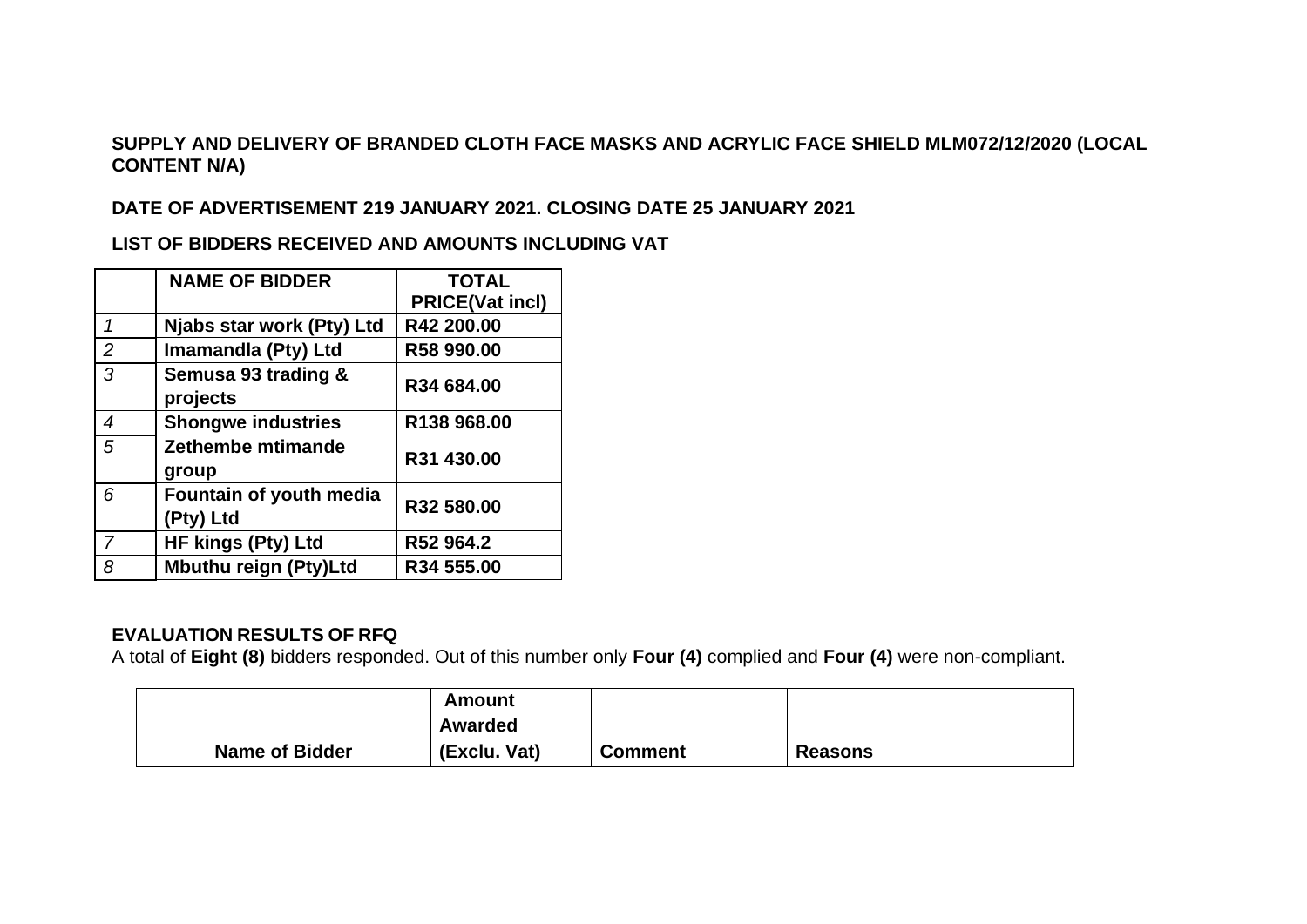## **SUPPLY AND DELIVERY OF BRANDED CLOTH FACE MASKS AND ACRYLIC FACE SHIELD MLM072/12/2020 (LOCAL CONTENT N/A)**

## **DATE OF ADVERTISEMENT 219 JANUARY 2021. CLOSING DATE 25 JANUARY 2021**

**LIST OF BIDDERS RECEIVED AND AMOUNTS INCLUDING VAT**

|   | <b>NAME OF BIDDER</b>                | <b>TOTAL</b>           |
|---|--------------------------------------|------------------------|
|   |                                      | <b>PRICE(Vat incl)</b> |
| 1 | Njabs star work (Pty) Ltd            | R42 200.00             |
| 2 | Imamandla (Pty) Ltd                  | R58 990.00             |
| 3 | Semusa 93 trading &<br>projects      | R34 684.00             |
| 4 | <b>Shongwe industries</b>            | R138 968.00            |
| 5 | Zethembe mtimande<br>group           | R31 430.00             |
| 6 | Fountain of youth media<br>(Pty) Ltd | R32 580.00             |
| 7 | <b>HF kings (Pty) Ltd</b>            | R52 964.2              |
| 8 | <b>Mbuthu reign (Pty)Ltd</b>         | R34 555.00             |

## **EVALUATION RESULTS OF RFQ**

A total of **Eight (8)** bidders responded. Out of this number only **Four (4)** complied and **Four (4)** were non-compliant.

|                       | Amount       |                |                |
|-----------------------|--------------|----------------|----------------|
|                       | Awarded      |                |                |
| <b>Name of Bidder</b> | (Exclu. Vat) | <b>Comment</b> | <b>Reasons</b> |